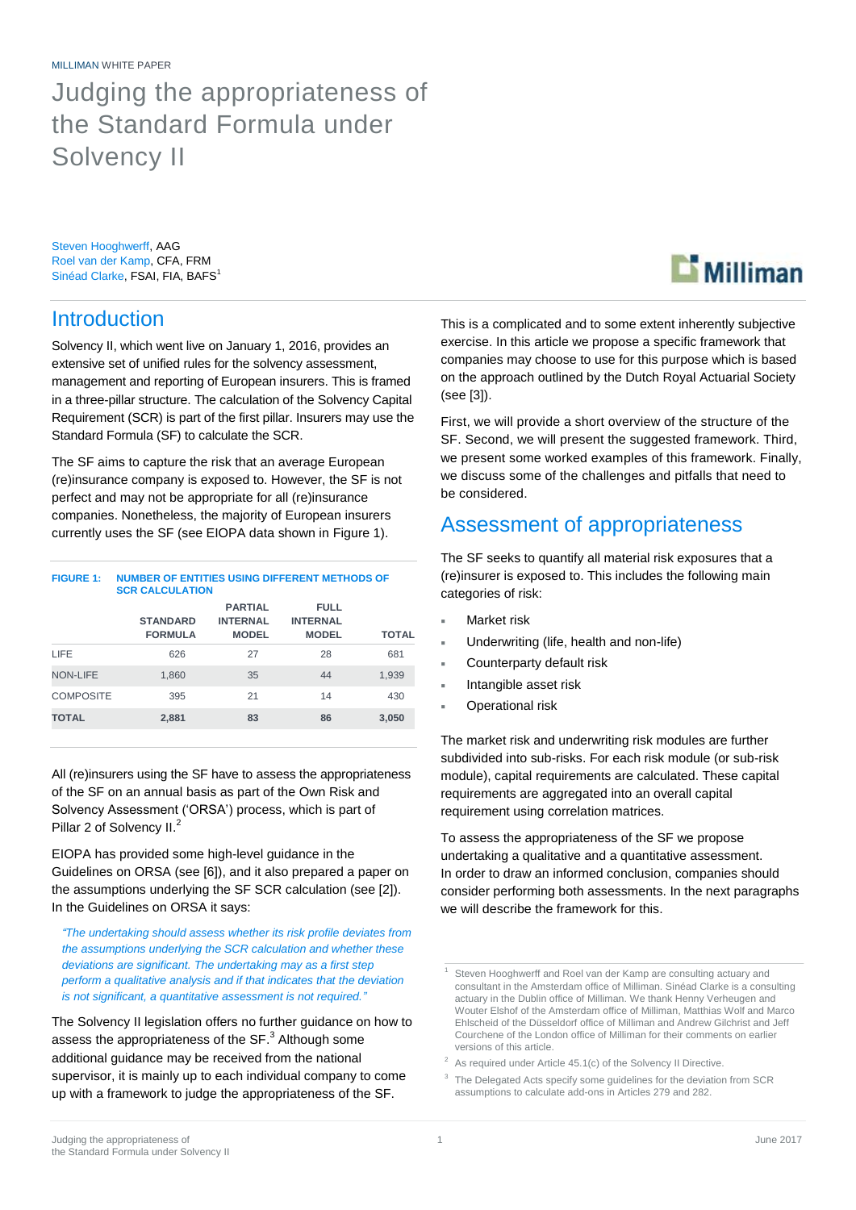MILLIMAN WHITE PAPER

## Judging the appropriateness of the Standard Formula under Solvency II

Steven Hooghwerff, AAG Roel van der Kamp, CFA, FRM Sinéad Clarke, FSAI, FIA, BAFS<sup>1</sup>

### **Introduction**

Solvency II, which went live on January 1, 2016, provides an extensive set of unified rules for the solvency assessment, management and reporting of European insurers. This is framed in a three-pillar structure. The calculation of the Solvency Capital Requirement (SCR) is part of the first pillar. Insurers may use the Standard Formula (SF) to calculate the SCR.

The SF aims to capture the risk that an average European (re)insurance company is exposed to. However, the SF is not perfect and may not be appropriate for all (re)insurance companies. Nonetheless, the majority of European insurers currently uses the SF (see EIOPA data shown i[n Figure 1\)](#page-0-0).

<span id="page-0-0"></span>

| <b>FIGURE 1:</b> | NUMBER OF ENTITIES USING DIFFERENT METHODS OF<br><b>SCR CALCULATION</b> |                                                   |                                                |              |
|------------------|-------------------------------------------------------------------------|---------------------------------------------------|------------------------------------------------|--------------|
|                  | <b>STANDARD</b><br><b>FORMULA</b>                                       | <b>PARTIAL</b><br><b>INTERNAL</b><br><b>MODEL</b> | <b>FULL</b><br><b>INTERNAL</b><br><b>MODEL</b> | <b>TOTAL</b> |
| <b>LIFF</b>      | 626                                                                     | 27                                                | 28                                             | 681          |
| <b>NON-LIFE</b>  | 1.860                                                                   | 35                                                | 44                                             | 1,939        |
| <b>COMPOSITE</b> | 395                                                                     | 21                                                | 14                                             | 430          |
| <b>TOTAL</b>     | 2,881                                                                   | 83                                                | 86                                             | 3,050        |

All (re)insurers using the SF have to assess the appropriateness of the SF on an annual basis as part of the Own Risk and Solvency Assessment ('ORSA') process, which is part of Pillar 2 of Solvency II.<sup>2</sup>

EIOPA has provided some high-level guidance in the Guidelines on ORSA (see [6]), and it also prepared a paper on the assumptions underlying the SF SCR calculation (see [2]). In the Guidelines on ORSA it says:

*"The undertaking should assess whether its risk profile deviates from the assumptions underlying the SCR calculation and whether these deviations are significant. The undertaking may as a first step perform a qualitative analysis and if that indicates that the deviation is not significant, a quantitative assessment is not required."*

The Solvency II legislation offers no further guidance on how to assess the appropriateness of the SF.<sup>3</sup> Although some additional guidance may be received from the national supervisor, it is mainly up to each individual company to come up with a framework to judge the appropriateness of the SF.

This is a complicated and to some extent inherently subjective exercise. In this article we propose a specific framework that companies may choose to use for this purpose which is based on the approach outlined by the Dutch Royal Actuarial Society (see [3]).

First, we will provide a short overview of the structure of the SF. Second, we will present the suggested framework. Third, we present some worked examples of this framework. Finally, we discuss some of the challenges and pitfalls that need to be considered.

### Assessment of appropriateness

The SF seeks to quantify all material risk exposures that a (re)insurer is exposed to. This includes the following main categories of risk:

- Market risk
- Underwriting (life, health and non-life)
- Counterparty default risk
- Intangible asset risk
- Operational risk

The market risk and underwriting risk modules are further subdivided into sub-risks. For each risk module (or sub-risk module), capital requirements are calculated. These capital requirements are aggregated into an overall capital requirement using correlation matrices.

To assess the appropriateness of the SF we propose undertaking a qualitative and a quantitative assessment. In order to draw an informed conclusion, companies should consider performing both assessments. In the next paragraphs we will describe the framework for this.



Steven Hooghwerff and Roel van der Kamp are consulting actuary and consultant in the Amsterdam office of Milliman. Sinéad Clarke is a consulting actuary in the Dublin office of Milliman. We thank Henny Verheugen and Wouter Elshof of the Amsterdam office of Milliman, Matthias Wolf and Marco Ehlscheid of the Düsseldorf office of Milliman and Andrew Gilchrist and Jeff Courchene of the London office of Milliman for their comments on earlier versions of this article.

 $2$  As required under Article 45.1(c) of the Solvency II Directive.

<sup>&</sup>lt;sup>3</sup> The Delegated Acts specify some guidelines for the deviation from SCR assumptions to calculate add-ons in Articles 279 and 282.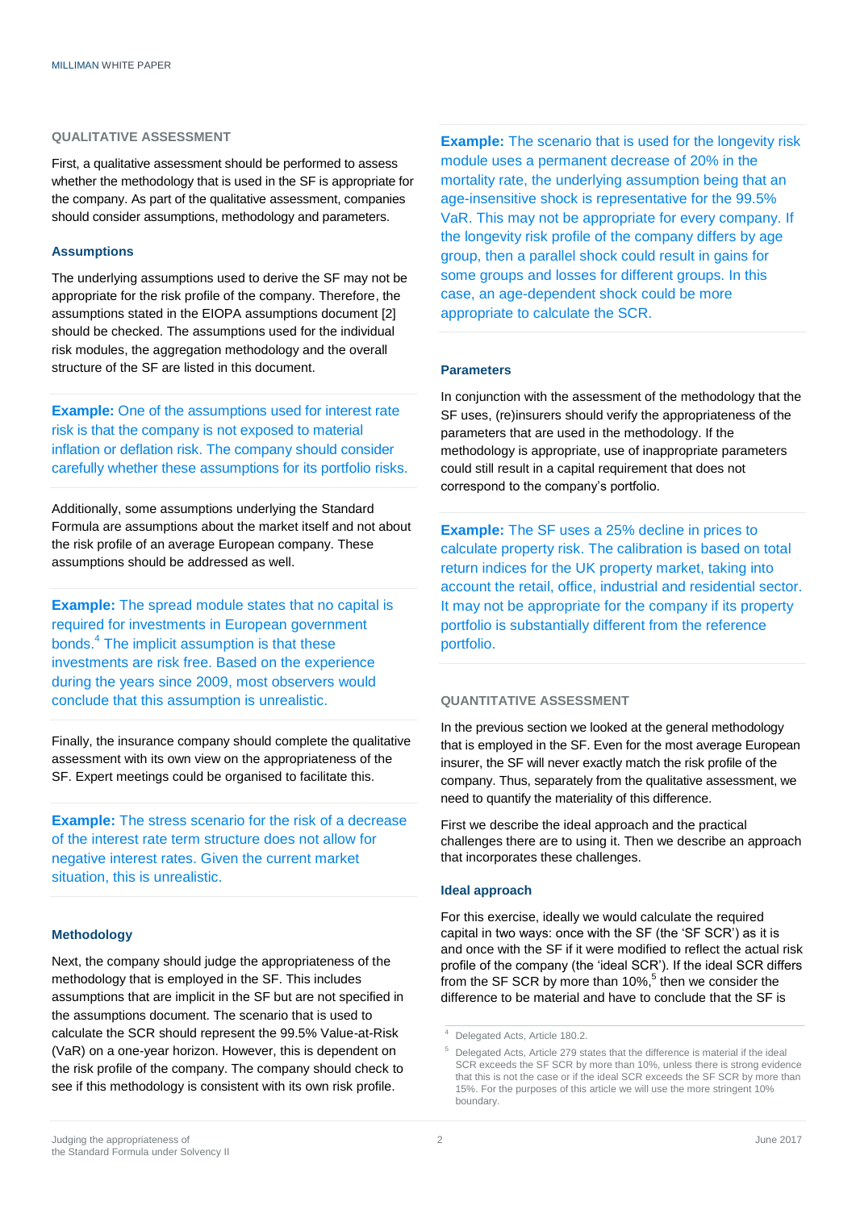#### **QUALITATIVE ASSESSMENT**

First, a qualitative assessment should be performed to assess whether the methodology that is used in the SF is appropriate for the company. As part of the qualitative assessment, companies should consider assumptions, methodology and parameters.

#### **Assumptions**

The underlying assumptions used to derive the SF may not be appropriate for the risk profile of the company. Therefore, the assumptions stated in the EIOPA assumptions document [2] should be checked. The assumptions used for the individual risk modules, the aggregation methodology and the overall structure of the SF are listed in this document.

**Example:** One of the assumptions used for interest rate risk is that the company is not exposed to material inflation or deflation risk. The company should consider carefully whether these assumptions for its portfolio risks.

Additionally, some assumptions underlying the Standard Formula are assumptions about the market itself and not about the risk profile of an average European company. These assumptions should be addressed as well.

**Example:** The spread module states that no capital is required for investments in European government bonds. 4 The implicit assumption is that these investments are risk free. Based on the experience during the years since 2009, most observers would conclude that this assumption is unrealistic.

Finally, the insurance company should complete the qualitative assessment with its own view on the appropriateness of the SF. Expert meetings could be organised to facilitate this.

**Example:** The stress scenario for the risk of a decrease of the interest rate term structure does not allow for negative interest rates. Given the current market situation, this is unrealistic.

#### **Methodology**

Next, the company should judge the appropriateness of the methodology that is employed in the SF. This includes assumptions that are implicit in the SF but are not specified in the assumptions document. The scenario that is used to calculate the SCR should represent the 99.5% Value-at-Risk (VaR) on a one-year horizon. However, this is dependent on the risk profile of the company. The company should check to see if this methodology is consistent with its own risk profile.

**Example:** The scenario that is used for the longevity risk module uses a permanent decrease of 20% in the mortality rate, the underlying assumption being that an age-insensitive shock is representative for the 99.5% VaR. This may not be appropriate for every company. If the longevity risk profile of the company differs by age group, then a parallel shock could result in gains for some groups and losses for different groups. In this case, an age-dependent shock could be more appropriate to calculate the SCR.

#### **Parameters**

In conjunction with the assessment of the methodology that the SF uses, (re)insurers should verify the appropriateness of the parameters that are used in the methodology. If the methodology is appropriate, use of inappropriate parameters could still result in a capital requirement that does not correspond to the company's portfolio.

**Example:** The SF uses a 25% decline in prices to calculate property risk. The calibration is based on total return indices for the UK property market, taking into account the retail, office, industrial and residential sector. It may not be appropriate for the company if its property portfolio is substantially different from the reference portfolio.

#### **QUANTITATIVE ASSESSMENT**

In the previous section we looked at the general methodology that is employed in the SF. Even for the most average European insurer, the SF will never exactly match the risk profile of the company. Thus, separately from the qualitative assessment, we need to quantify the materiality of this difference.

First we describe the ideal approach and the practical challenges there are to using it. Then we describe an approach that incorporates these challenges.

#### **Ideal approach**

For this exercise, ideally we would calculate the required capital in two ways: once with the SF (the 'SF SCR') as it is and once with the SF if it were modified to reflect the actual risk profile of the company (the 'ideal SCR'). If the ideal SCR differs from the SF SCR by more than 10%,<sup>5</sup> then we consider the difference to be material and have to conclude that the SF is

<sup>&</sup>lt;sup>4</sup> Delegated Acts, Article 180.2.

<sup>&</sup>lt;sup>5</sup> Delegated Acts, Article 279 states that the difference is material if the ideal SCR exceeds the SF SCR by more than 10%, unless there is strong evidence that this is not the case or if the ideal SCR exceeds the SF SCR by more than 15%. For the purposes of this article we will use the more stringent 10% boundary.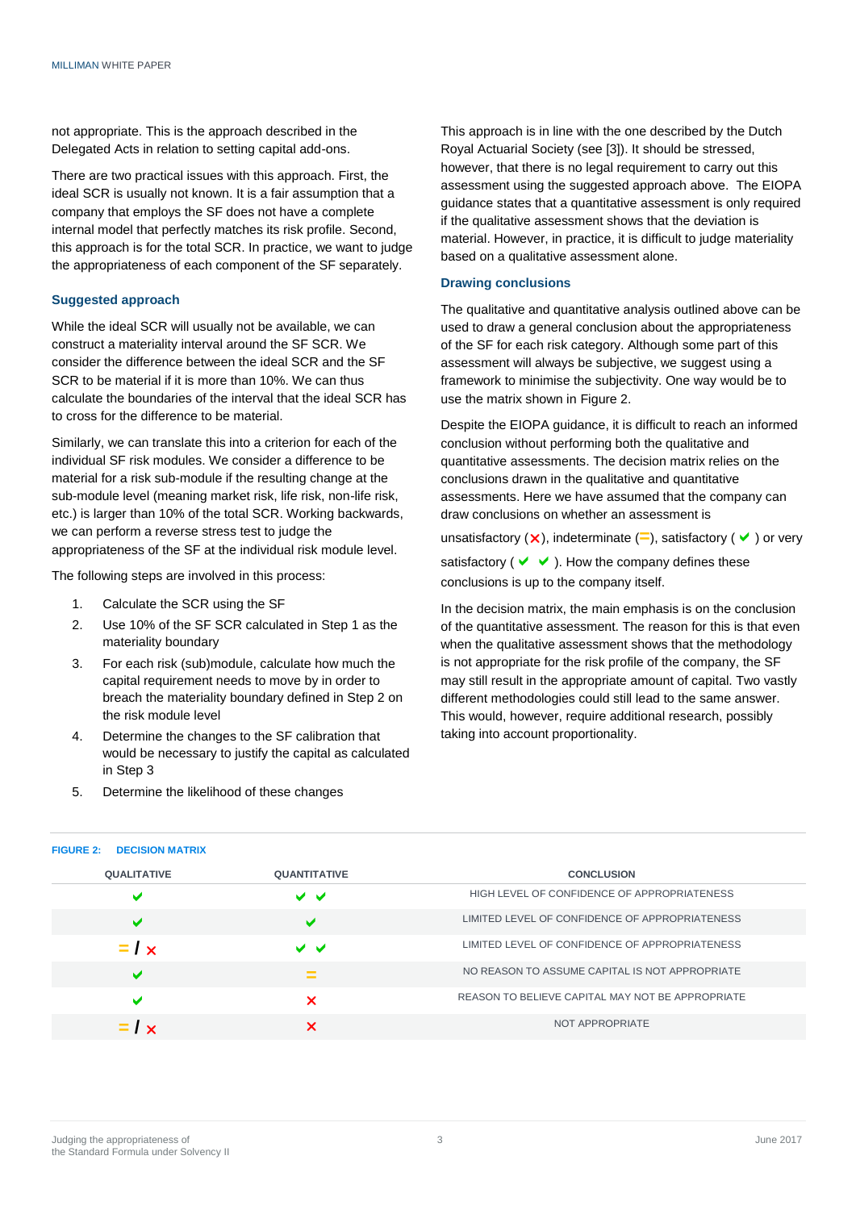not appropriate. This is the approach described in the Delegated Acts in relation to setting capital add-ons.

There are two practical issues with this approach. First, the ideal SCR is usually not known. It is a fair assumption that a company that employs the SF does not have a complete internal model that perfectly matches its risk profile. Second, this approach is for the total SCR. In practice, we want to judge the appropriateness of each component of the SF separately.

#### **Suggested approach**

While the ideal SCR will usually not be available, we can construct a materiality interval around the SF SCR. We consider the difference between the ideal SCR and the SF SCR to be material if it is more than 10%. We can thus calculate the boundaries of the interval that the ideal SCR has to cross for the difference to be material.

Similarly, we can translate this into a criterion for each of the individual SF risk modules. We consider a difference to be material for a risk sub-module if the resulting change at the sub-module level (meaning market risk, life risk, non-life risk, etc.) is larger than 10% of the total SCR. Working backwards, we can perform a reverse stress test to judge the appropriateness of the SF at the individual risk module level.

The following steps are involved in this process:

- 1. Calculate the SCR using the SF
- 2. Use 10% of the SF SCR calculated in Step 1 as the materiality boundary
- 3. For each risk (sub)module, calculate how much the capital requirement needs to move by in order to breach the materiality boundary defined in Step 2 on the risk module level
- 4. Determine the changes to the SF calibration that would be necessary to justify the capital as calculated in Step 3
- 5. Determine the likelihood of these changes

This approach is in line with the one described by the Dutch Royal Actuarial Society (see [3]). It should be stressed, however, that there is no legal requirement to carry out this assessment using the suggested approach above. The EIOPA guidance states that a quantitative assessment is only required if the qualitative assessment shows that the deviation is material. However, in practice, it is difficult to judge materiality based on a qualitative assessment alone.

#### **Drawing conclusions**

The qualitative and quantitative analysis outlined above can be used to draw a general conclusion about the appropriateness of the SF for each risk category. Although some part of this assessment will always be subjective, we suggest using a framework to minimise the subjectivity. One way would be to use the matrix shown in [Figure 2.](#page-2-0)

Despite the EIOPA guidance, it is difficult to reach an informed conclusion without performing both the qualitative and quantitative assessments. The decision matrix relies on the conclusions drawn in the qualitative and quantitative assessments. Here we have assumed that the company can draw conclusions on whether an assessment is

unsatisfactory ( $\times$ ), indeterminate (=), satisfactory ( $\vee$ ) or very

satisfactory ( $\vee\vee$ ). How the company defines these conclusions is up to the company itself.

In the decision matrix, the main emphasis is on the conclusion of the quantitative assessment. The reason for this is that even when the qualitative assessment shows that the methodology is not appropriate for the risk profile of the company, the SF may still result in the appropriate amount of capital. Two vastly different methodologies could still lead to the same answer. This would, however, require additional research, possibly taking into account proportionality.

| <b>QUALITATIVE</b> | <b>QUANTITATIVE</b> | <b>CONCLUSION</b>                                |
|--------------------|---------------------|--------------------------------------------------|
| $\checkmark$       | ◡◡                  | HIGH LEVEL OF CONFIDENCE OF APPROPRIATENESS      |
| $\checkmark$       | M                   | LIMITED LEVEL OF CONFIDENCE OF APPROPRIATENESS   |
| $=$ / $\times$     | ✓✓                  | LIMITED LEVEL OF CONFIDENCE OF APPROPRIATENESS   |
| ✔                  | $=$                 | NO REASON TO ASSUME CAPITAL IS NOT APPROPRIATE   |
| $\checkmark$       | ×                   | REASON TO BELIEVE CAPITAL MAY NOT BE APPROPRIATE |
| $= I \times$       |                     | NOT APPROPRIATE                                  |

#### <span id="page-2-0"></span>**FIGURE 2: DECISION MATRIX**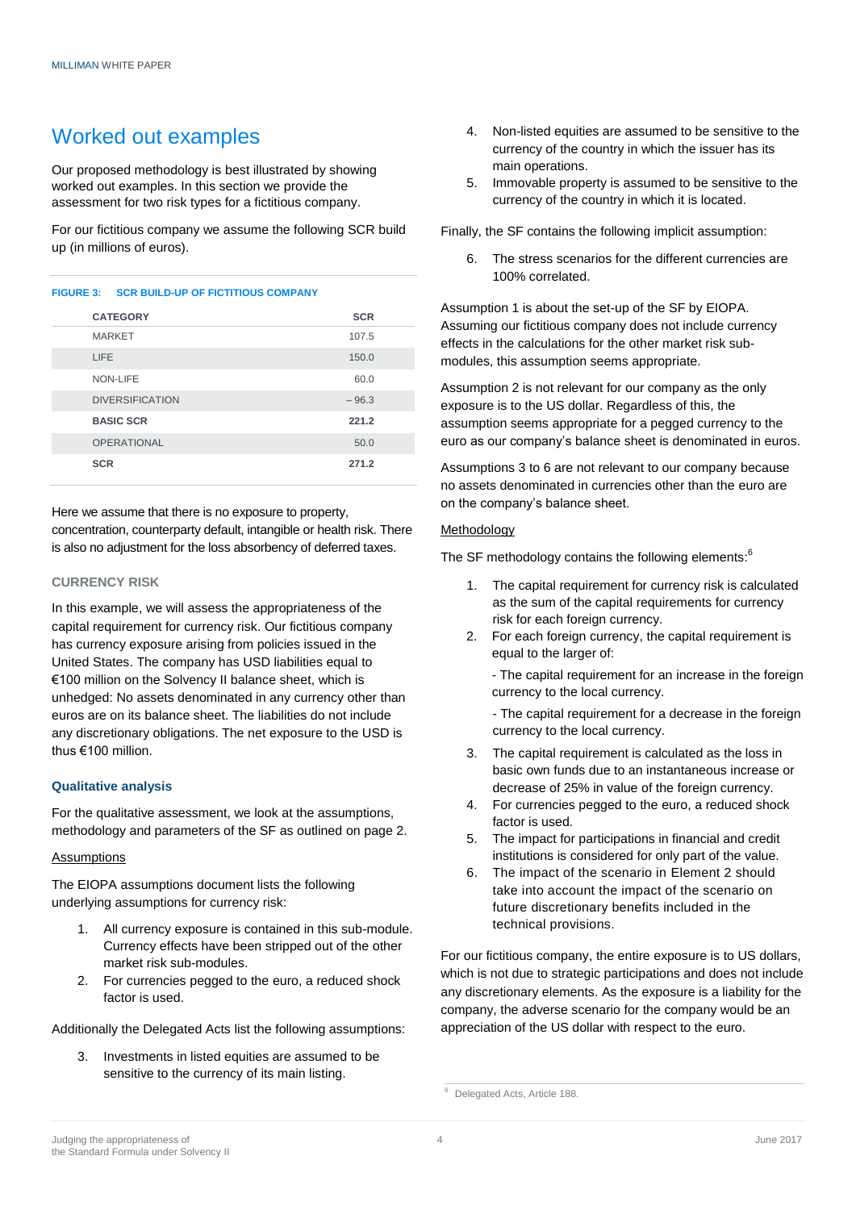### Worked out examples

Our proposed methodology is best illustrated by showing worked out examples. In this section we provide the assessment for two risk types for a fictitious company.

For our fictitious company we assume the following SCR build up (in millions of euros).

#### **FIGURE 3: SCR BUILD-UP OF FICTITIOUS COMPANY**

| <b>CATEGORY</b>        | <b>SCR</b> |
|------------------------|------------|
| <b>MARKET</b>          | 107.5      |
| LIFE                   | 150.0      |
| NON-LIFE               | 60.0       |
| <b>DIVERSIFICATION</b> | $-96.3$    |
| <b>BASIC SCR</b>       | 221.2      |
| <b>OPERATIONAL</b>     | 50.0       |
| <b>SCR</b>             | 271.2      |

Here we assume that there is no exposure to property, concentration, counterparty default, intangible or health risk. There is also no adjustment for the loss absorbency of deferred taxes.

#### **CURRENCY RISK**

In this example, we will assess the appropriateness of the capital requirement for currency risk. Our fictitious company has currency exposure arising from policies issued in the United States. The company has USD liabilities equal to €100 million on the Solvency II balance sheet, which is unhedged: No assets denominated in any currency other than euros are on its balance sheet. The liabilities do not include any discretionary obligations. The net exposure to the USD is thus €100 million.

#### **Qualitative analysis**

For the qualitative assessment, we look at the assumptions, methodology and parameters of the SF as outlined on page 2.

#### **Assumptions**

The EIOPA assumptions document lists the following underlying assumptions for currency risk:

- 1. All currency exposure is contained in this sub-module. Currency effects have been stripped out of the other market risk sub-modules.
- 2. For currencies pegged to the euro, a reduced shock factor is used.

Additionally the Delegated Acts list the following assumptions:

Investments in listed equities are assumed to be sensitive to the currency of its main listing.

- 4. Non-listed equities are assumed to be sensitive to the currency of the country in which the issuer has its main operations.
- 5. Immovable property is assumed to be sensitive to the currency of the country in which it is located.

Finally, the SF contains the following implicit assumption:

6. The stress scenarios for the different currencies are 100% correlated.

Assumption 1 is about the set-up of the SF by EIOPA. Assuming our fictitious company does not include currency effects in the calculations for the other market risk submodules, this assumption seems appropriate.

Assumption 2 is not relevant for our company as the only exposure is to the US dollar. Regardless of this, the assumption seems appropriate for a pegged currency to the euro as our company's balance sheet is denominated in euros.

Assumptions 3 to 6 are not relevant to our company because no assets denominated in currencies other than the euro are on the company's balance sheet.

#### Methodology

The SF methodology contains the following elements:

- 1. The capital requirement for currency risk is calculated as the sum of the capital requirements for currency risk for each foreign currency.
- 2. For each foreign currency, the capital requirement is equal to the larger of:
	- The capital requirement for an increase in the foreign currency to the local currency.

- The capital requirement for a decrease in the foreign currency to the local currency.

- 3. The capital requirement is calculated as the loss in basic own funds due to an instantaneous increase or decrease of 25% in value of the foreign currency.
- 4. For currencies pegged to the euro, a reduced shock factor is used.
- 5. The impact for participations in financial and credit institutions is considered for only part of the value.
- 6. The impact of the scenario in Element 2 should take into account the impact of the scenario on future discretionary benefits included in the technical provisions.

For our fictitious company, the entire exposure is to US dollars, which is not due to strategic participations and does not include any discretionary elements. As the exposure is a liability for the company, the adverse scenario for the company would be an appreciation of the US dollar with respect to the euro.

<sup>6</sup> Delegated Acts, Article 188.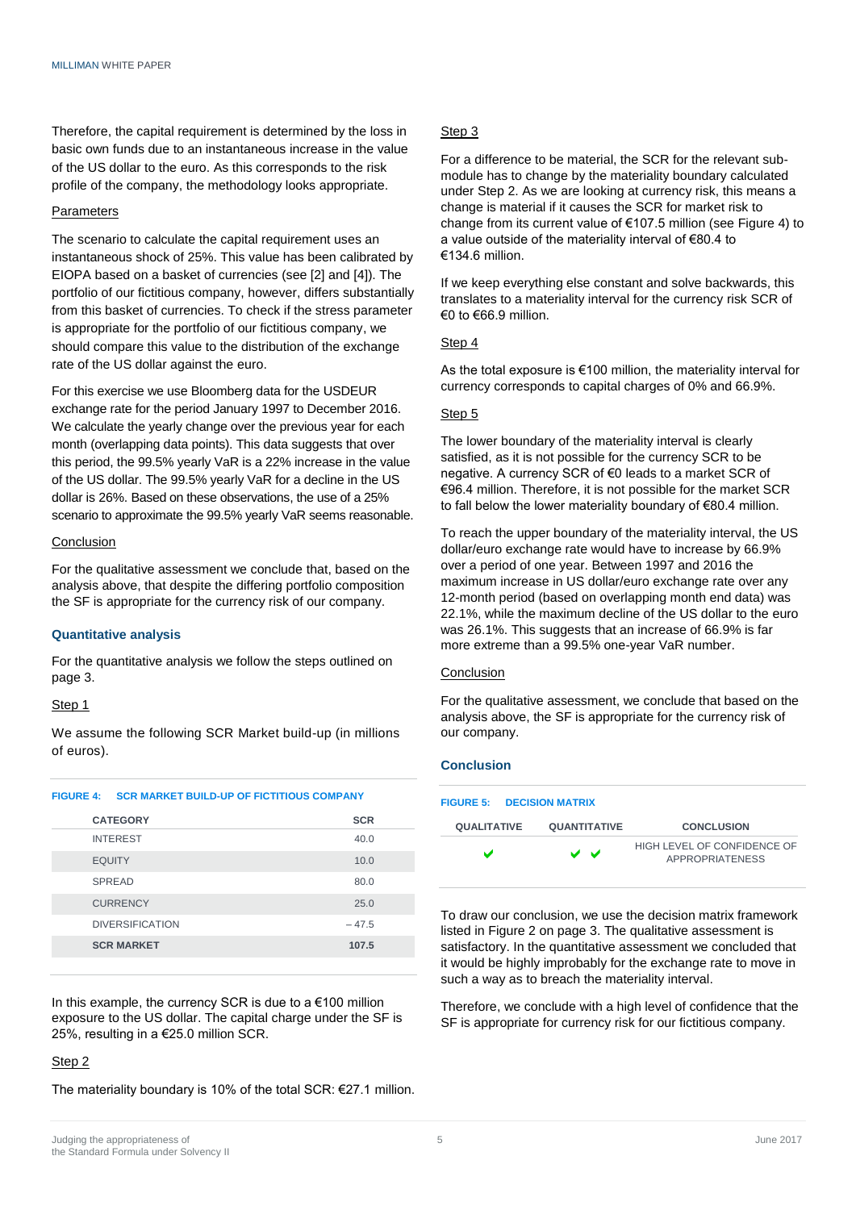Therefore, the capital requirement is determined by the loss in basic own funds due to an instantaneous increase in the value of the US dollar to the euro. As this corresponds to the risk profile of the company, the methodology looks appropriate.

#### **Parameters**

The scenario to calculate the capital requirement uses an instantaneous shock of 25%. This value has been calibrated by EIOPA based on a basket of currencies (see [2] and [4]). The portfolio of our fictitious company, however, differs substantially from this basket of currencies. To check if the stress parameter is appropriate for the portfolio of our fictitious company, we should compare this value to the distribution of the exchange rate of the US dollar against the euro.

For this exercise we use Bloomberg data for the USDEUR exchange rate for the period January 1997 to December 2016. We calculate the yearly change over the previous year for each month (overlapping data points). This data suggests that over this period, the 99.5% yearly VaR is a 22% increase in the value of the US dollar. The 99.5% yearly VaR for a decline in the US dollar is 26%. Based on these observations, the use of a 25% scenario to approximate the 99.5% yearly VaR seems reasonable.

#### Conclusion

For the qualitative assessment we conclude that, based on the analysis above, that despite the differing portfolio composition the SF is appropriate for the currency risk of our company.

#### **Quantitative analysis**

For the quantitative analysis we follow the steps outlined on page 3.

#### Step 1

We assume the following SCR Market build-up (in millions of euros).

<span id="page-4-0"></span>

|  | <b>FIGURE 4: SCR MARKET BUILD-UP OF FICTITIOUS COMPANY</b> |  |
|--|------------------------------------------------------------|--|

| <b>CATEGORY</b>        | <b>SCR</b> |
|------------------------|------------|
| <b>INTEREST</b>        | 40.0       |
| <b>EQUITY</b>          | 10.0       |
| <b>SPREAD</b>          | 80.0       |
| <b>CURRENCY</b>        | 25.0       |
| <b>DIVERSIFICATION</b> | $-47.5$    |
| <b>SCR MARKET</b>      | 107.5      |
|                        |            |

In this example, the currency SCR is due to a  $€100$  million exposure to the US dollar. The capital charge under the SF is 25%, resulting in a €25.0 million SCR.

#### Step 2

The materiality boundary is 10% of the total SCR: €27.1 million.

#### Step 3

For a difference to be material, the SCR for the relevant submodule has to change by the materiality boundary calculated under Step 2. As we are looking at currency risk, this means a change is material if it causes the SCR for market risk to change from its current value of €107.5 million (see [Figure 4\)](#page-4-0) to a value outside of the materiality interval of €80.4 to €134.6 million.

If we keep everything else constant and solve backwards, this translates to a materiality interval for the currency risk SCR of €0 to  $€66.9$  million.

#### Step 4

As the total exposure is €100 million, the materiality interval for currency corresponds to capital charges of 0% and 66.9%.

#### Step<sub>5</sub>

The lower boundary of the materiality interval is clearly satisfied, as it is not possible for the currency SCR to be negative. A currency SCR of €0 leads to a market SCR of €96.4 million. Therefore, it is not possible for the market SCR to fall below the lower materiality boundary of €80.4 million.

To reach the upper boundary of the materiality interval, the US dollar/euro exchange rate would have to increase by 66.9% over a period of one year. Between 1997 and 2016 the maximum increase in US dollar/euro exchange rate over any 12-month period (based on overlapping month end data) was 22.1%, while the maximum decline of the US dollar to the euro was 26.1%. This suggests that an increase of 66.9% is far more extreme than a 99.5% one-year VaR number.

#### Conclusion

For the qualitative assessment, we conclude that based on the analysis above, the SF is appropriate for the currency risk of our company.

#### **Conclusion**

|                    | <b>FIGURE 5: DECISION MATRIX</b> |                     |                                                       |
|--------------------|----------------------------------|---------------------|-------------------------------------------------------|
| <b>QUALITATIVE</b> |                                  | <b>QUANTITATIVE</b> | <b>CONCLUSION</b>                                     |
|                    |                                  | ◡◡                  | HIGH LEVEL OF CONFIDENCE OF<br><b>APPROPRIATENESS</b> |

To draw our conclusion, we use the decision matrix framework listed i[n Figure 2](#page-2-0) on page 3. The qualitative assessment is satisfactory. In the quantitative assessment we concluded that it would be highly improbably for the exchange rate to move in such a way as to breach the materiality interval.

Therefore, we conclude with a high level of confidence that the SF is appropriate for currency risk for our fictitious company.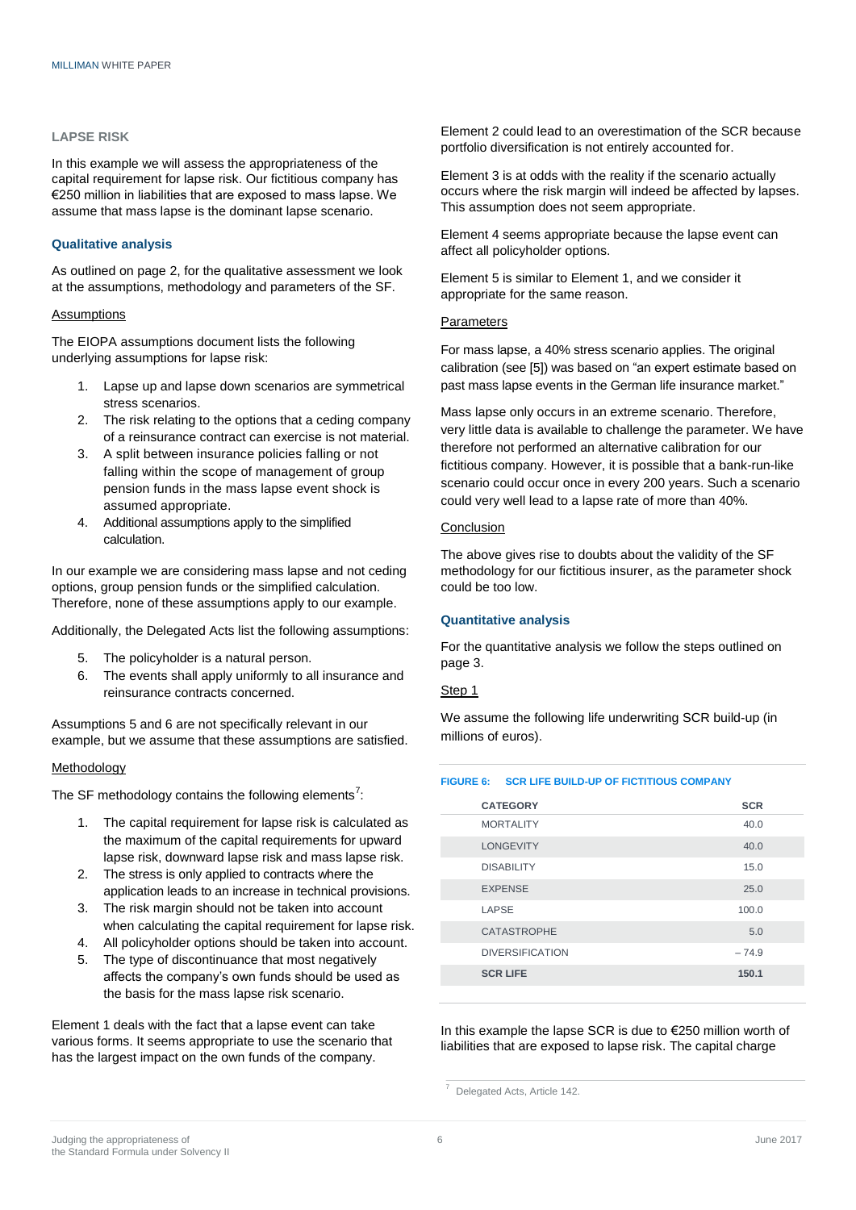#### **LAPSE RISK**

In this example we will assess the appropriateness of the capital requirement for lapse risk. Our fictitious company has €250 million in liabilities that are exposed to mass lapse. We assume that mass lapse is the dominant lapse scenario.

#### **Qualitative analysis**

As outlined on page 2, for the qualitative assessment we look at the assumptions, methodology and parameters of the SF.

#### Assumptions

The EIOPA assumptions document lists the following underlying assumptions for lapse risk:

- 1. Lapse up and lapse down scenarios are symmetrical stress scenarios.
- 2. The risk relating to the options that a ceding company of a reinsurance contract can exercise is not material.
- 3. A split between insurance policies falling or not falling within the scope of management of group pension funds in the mass lapse event shock is assumed appropriate.
- 4. Additional assumptions apply to the simplified calculation.

In our example we are considering mass lapse and not ceding options, group pension funds or the simplified calculation. Therefore, none of these assumptions apply to our example.

Additionally, the Delegated Acts list the following assumptions:

- 5. The policyholder is a natural person.
- 6. The events shall apply uniformly to all insurance and reinsurance contracts concerned.

Assumptions 5 and 6 are not specifically relevant in our example, but we assume that these assumptions are satisfied.

#### Methodology

The SF methodology contains the following elements<sup>7</sup>:

- 1. The capital requirement for lapse risk is calculated as the maximum of the capital requirements for upward lapse risk, downward lapse risk and mass lapse risk.
- 2. The stress is only applied to contracts where the application leads to an increase in technical provisions.
- 3. The risk margin should not be taken into account when calculating the capital requirement for lapse risk.
- 4. All policyholder options should be taken into account.
- 5. The type of discontinuance that most negatively affects the company's own funds should be used as the basis for the mass lapse risk scenario.

Element 1 deals with the fact that a lapse event can take various forms. It seems appropriate to use the scenario that has the largest impact on the own funds of the company.

Element 2 could lead to an overestimation of the SCR because portfolio diversification is not entirely accounted for.

Element 3 is at odds with the reality if the scenario actually occurs where the risk margin will indeed be affected by lapses. This assumption does not seem appropriate.

Element 4 seems appropriate because the lapse event can affect all policyholder options.

Element 5 is similar to Element 1, and we consider it appropriate for the same reason.

#### **Parameters**

For mass lapse, a 40% stress scenario applies. The original calibration (see [5]) was based on "an expert estimate based on past mass lapse events in the German life insurance market."

Mass lapse only occurs in an extreme scenario. Therefore, very little data is available to challenge the parameter. We have therefore not performed an alternative calibration for our fictitious company. However, it is possible that a bank-run-like scenario could occur once in every 200 years. Such a scenario could very well lead to a lapse rate of more than 40%.

#### Conclusion

The above gives rise to doubts about the validity of the SF methodology for our fictitious insurer, as the parameter shock could be too low.

#### **Quantitative analysis**

For the quantitative analysis we follow the steps outlined on page 3.

#### Step 1

We assume the following life underwriting SCR build-up (in millions of euros).

#### <span id="page-5-0"></span>**FIGURE 6: SCR LIFE BUILD-UP OF FICTITIOUS COMPANY**

| <b>CATEGORY</b>        | <b>SCR</b> |
|------------------------|------------|
| <b>MORTALITY</b>       | 40.0       |
| <b>LONGEVITY</b>       | 40.0       |
| <b>DISABILITY</b>      | 15.0       |
| <b>EXPENSE</b>         | 25.0       |
| LAPSE                  | 100.0      |
| <b>CATASTROPHE</b>     | 5.0        |
| <b>DIVERSIFICATION</b> | $-74.9$    |
| <b>SCR LIFE</b>        | 150.1      |
|                        |            |

In this example the lapse SCR is due to €250 million worth of liabilities that are exposed to lapse risk. The capital charge

<sup>7</sup> Delegated Acts, Article 142.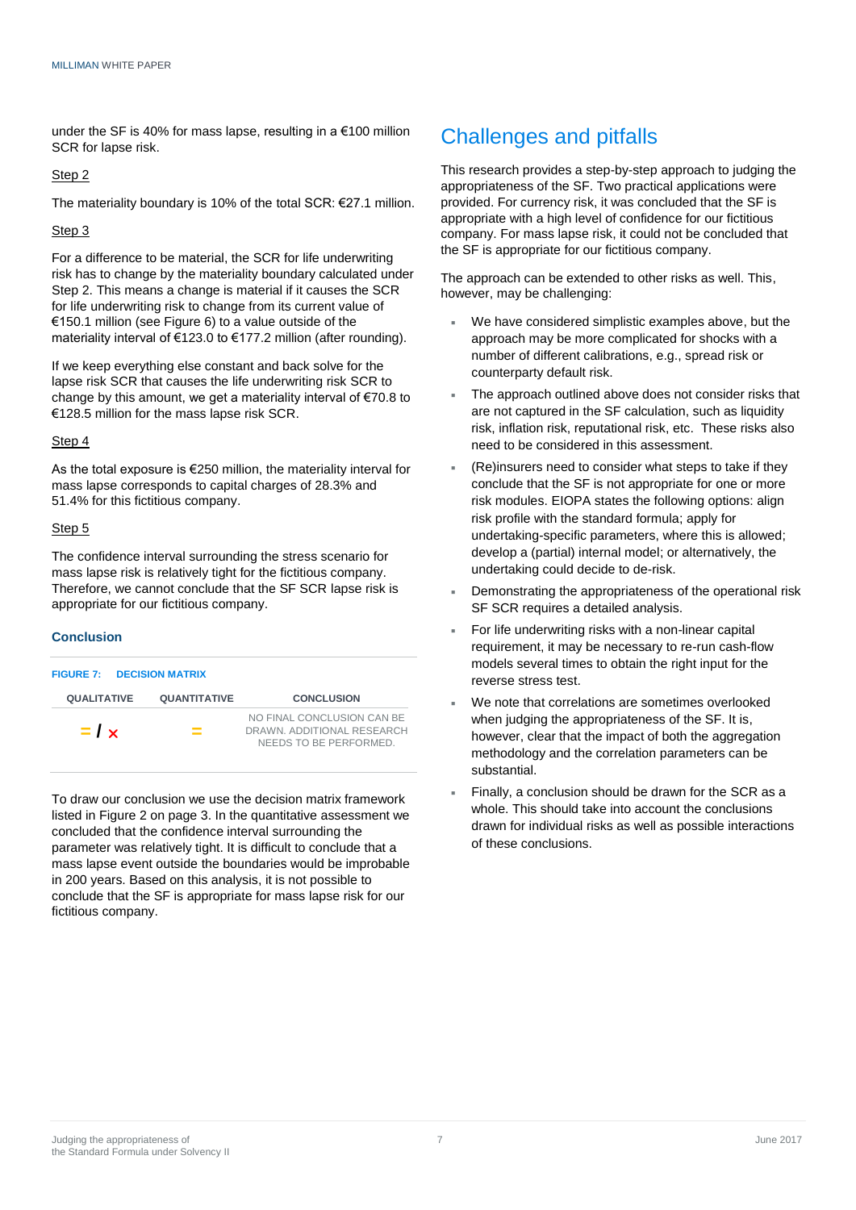under the SF is 40% for mass lapse, resulting in a €100 million SCR for lapse risk.

#### Step 2

The materiality boundary is 10% of the total SCR: €27.1 million.

#### Step 3

For a difference to be material, the SCR for life underwriting risk has to change by the materiality boundary calculated under Step 2. This means a change is material if it causes the SCR for life underwriting risk to change from its current value of €150.1 million (see [Figure 6\)](#page-5-0) to a value outside of the materiality interval of €123.0 to €177.2 million (after rounding).

If we keep everything else constant and back solve for the lapse risk SCR that causes the life underwriting risk SCR to change by this amount, we get a materiality interval of €70.8 to €128.5 million for the mass lapse risk SCR.

#### Step 4

As the total exposure is €250 million, the materiality interval for mass lapse corresponds to capital charges of 28.3% and 51.4% for this fictitious company.

#### Step<sub>5</sub>

The confidence interval surrounding the stress scenario for mass lapse risk is relatively tight for the fictitious company. Therefore, we cannot conclude that the SF SCR lapse risk is appropriate for our fictitious company.

#### **Conclusion**

| <b>FIGURE 7: DECISION MATRIX</b> |                     |                                                                                    |
|----------------------------------|---------------------|------------------------------------------------------------------------------------|
| <b>QUALITATIVE</b>               | <b>QUANTITATIVE</b> | <b>CONCLUSION</b>                                                                  |
| $=$ / $\times$                   | $=$                 | NO FINAL CONCLUSION CAN BE<br>DRAWN, ADDITIONAL RESEARCH<br>NEEDS TO BE PERFORMED. |

To draw our conclusion we use the decision matrix framework listed in [Figure 2](#page-2-0) on page 3. In the quantitative assessment we concluded that the confidence interval surrounding the parameter was relatively tight. It is difficult to conclude that a mass lapse event outside the boundaries would be improbable in 200 years. Based on this analysis, it is not possible to conclude that the SF is appropriate for mass lapse risk for our fictitious company.

### Challenges and pitfalls

This research provides a step-by-step approach to judging the appropriateness of the SF. Two practical applications were provided. For currency risk, it was concluded that the SF is appropriate with a high level of confidence for our fictitious company. For mass lapse risk, it could not be concluded that the SF is appropriate for our fictitious company.

The approach can be extended to other risks as well. This, however, may be challenging:

- We have considered simplistic examples above, but the approach may be more complicated for shocks with a number of different calibrations, e.g., spread risk or counterparty default risk.
- The approach outlined above does not consider risks that are not captured in the SF calculation, such as liquidity risk, inflation risk, reputational risk, etc. These risks also need to be considered in this assessment.
- (Re)insurers need to consider what steps to take if they conclude that the SF is not appropriate for one or more risk modules. EIOPA states the following options: align risk profile with the standard formula; apply for undertaking-specific parameters, where this is allowed; develop a (partial) internal model; or alternatively, the undertaking could decide to de-risk.
- Demonstrating the appropriateness of the operational risk SF SCR requires a detailed analysis.
- For life underwriting risks with a non-linear capital requirement, it may be necessary to re-run cash-flow models several times to obtain the right input for the reverse stress test.
- We note that correlations are sometimes overlooked when judging the appropriateness of the SF. It is, however, clear that the impact of both the aggregation methodology and the correlation parameters can be substantial.
- Finally, a conclusion should be drawn for the SCR as a whole. This should take into account the conclusions drawn for individual risks as well as possible interactions of these conclusions.